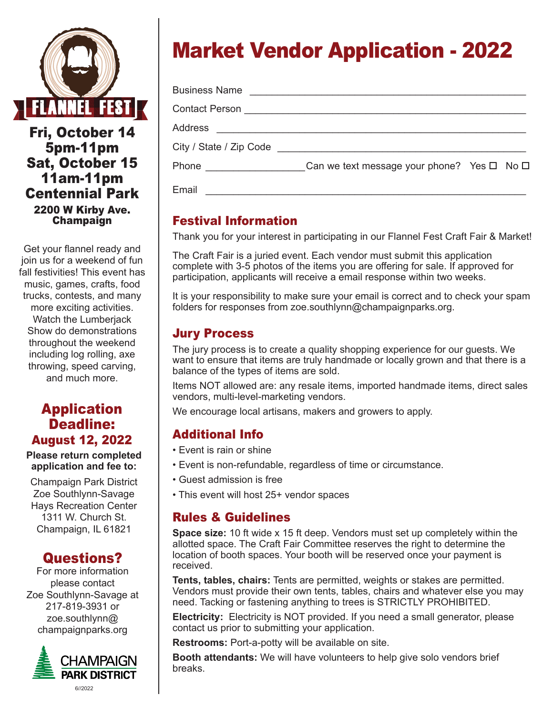

Fri, October 14 5pm-11pm Sat, October 15 11am-11pm Centennial Park 2200 W Kirby Ave. Champaign

Get your flannel ready and join us for a weekend of fun fall festivities! This event has music, games, crafts, food trucks, contests, and many more exciting activities. Watch the Lumberjack Show do demonstrations throughout the weekend including log rolling, axe throwing, speed carving, and much more.

#### Application Deadline: August 12, 2022

**Please return completed application and fee to:**

Champaign Park District Zoe Southlynn-Savage Hays Recreation Center 1311 W. Church St. Champaign, IL 61821

# Questions?

For more information please contact Zoe Southlynn-Savage at 217-819-3931 or zoe.southlynn@ champaignparks.org



# Market Vendor Application - 2022

| Contact Person _________________________________ |                                                            |  |
|--------------------------------------------------|------------------------------------------------------------|--|
| Address                                          |                                                            |  |
|                                                  |                                                            |  |
| Phone ________________                           | Can we text message your phone? Yes $\square$ No $\square$ |  |
| Email                                            |                                                            |  |

## Festival Information

Thank you for your interest in participating in our Flannel Fest Craft Fair & Market!

The Craft Fair is a juried event. Each vendor must submit this application complete with 3-5 photos of the items you are offering for sale. If approved for participation, applicants will receive a email response within two weeks.

It is your responsibility to make sure your email is correct and to check your spam folders for responses from zoe.southlynn@champaignparks.org.

## Jury Process

The jury process is to create a quality shopping experience for our guests. We want to ensure that items are truly handmade or locally grown and that there is a balance of the types of items are sold.

Items NOT allowed are: any resale items, imported handmade items, direct sales vendors, multi-level-marketing vendors.

We encourage local artisans, makers and growers to apply.

## Additional Info

- Event is rain or shine
- Event is non-refundable, regardless of time or circumstance.
- Guest admission is free
- This event will host 25+ vendor spaces

#### Rules & Guidelines

**Space size:** 10 ft wide x 15 ft deep. Vendors must set up completely within the allotted space. The Craft Fair Committee reserves the right to determine the location of booth spaces. Your booth will be reserved once your payment is received.

**Tents, tables, chairs:** Tents are permitted, weights or stakes are permitted. Vendors must provide their own tents, tables, chairs and whatever else you may need. Tacking or fastening anything to trees is STRICTLY PROHIBITED.

**Electricity:** Electricity is NOT provided. If you need a small generator, please contact us prior to submitting your application.

**Restrooms:** Port-a-potty will be available on site.

**Booth attendants:** We will have volunteers to help give solo vendors brief breaks.